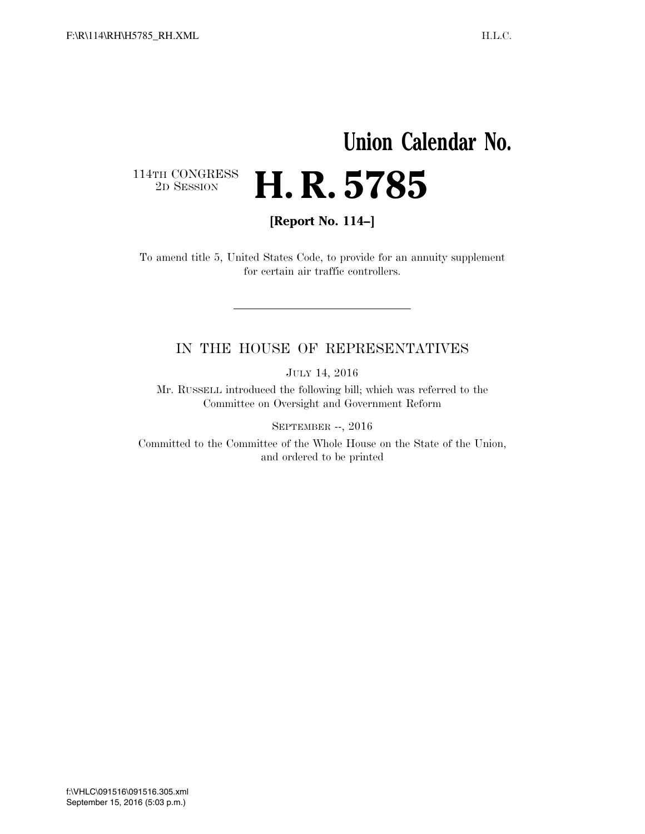## **Union Calendar No.**   $\begin{array}{c} \textbf{114TH CONGRESS} \\ \textbf{2D SESSION} \end{array}$ 2D SESSION **H. R. 5785**

**[Report No. 114–]** 

To amend title 5, United States Code, to provide for an annuity supplement for certain air traffic controllers.

## IN THE HOUSE OF REPRESENTATIVES

JULY 14, 2016

Mr. RUSSELL introduced the following bill; which was referred to the Committee on Oversight and Government Reform

SEPTEMBER --, 2016

Committed to the Committee of the Whole House on the State of the Union, and ordered to be printed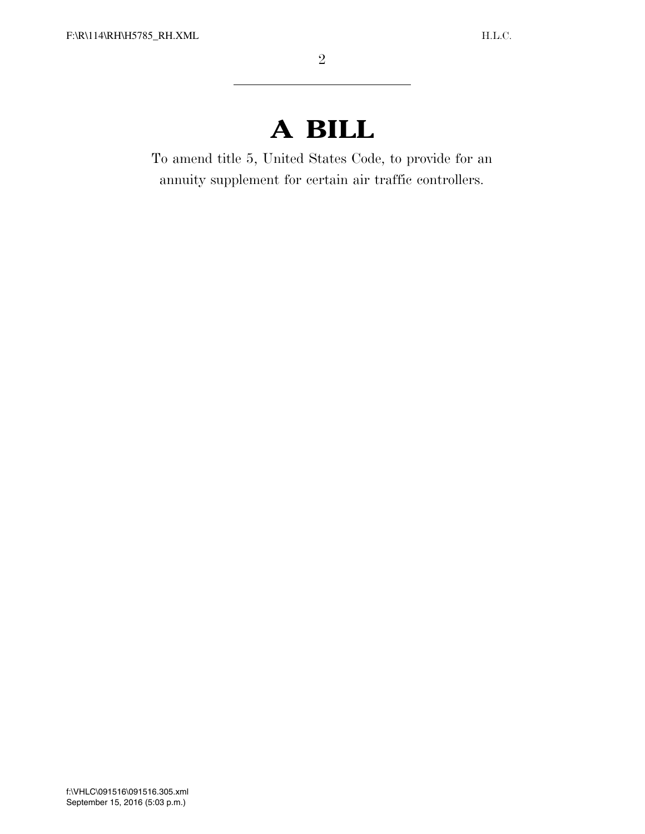## **A BILL**

To amend title 5, United States Code, to provide for an annuity supplement for certain air traffic controllers.